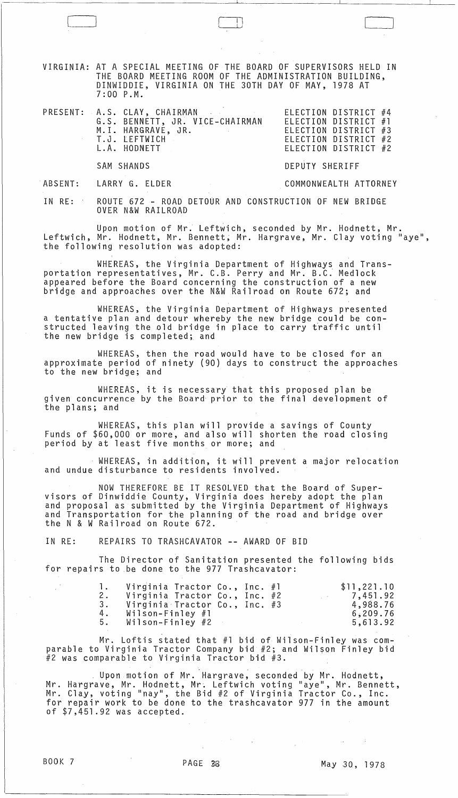VIRGINIA: AT A SPECIAL MEETING OF THE BOARD OF SUPERVISORS HELD IN THE BOARD MEETING ROOM OF THE ADMINISTRATION BUILDING, DINWIDDIE, VIRGINIA ON THE 30TH DAY OF MAY, 1978 AT 7:00 P.M.

 $\Box$ 

|  | PRESENT: A.S. CLAY, CHAIRMAN               | ELECTION DISTRICT #4 |  |
|--|--------------------------------------------|----------------------|--|
|  | G.S. BENNETT, JR. VICE-CHAIRMAN            | ELECTION DISTRICT #1 |  |
|  | M.I. HARGRAVE, JR.<br>and the state of the | ELECTION DISTRICT #3 |  |
|  | T.J. LEFTWICH                              | ELECTION DISTRICT #2 |  |
|  | L.A. HODNETT                               | ELECTION DISTRICT #2 |  |
|  |                                            |                      |  |

SAM SHANDS

LARRY G. ELDER

COMMONWEALTH ATTORNEY

DEPUTY SHERIFF

·ABSENT:

IN RE: ROUTE 672 - ROAD DETOUR AND CONSTRUCTION OF NEW BRIDGE OVER N&W RAILROAD

Upon motion of Mr. Leftwich, seconded by Mr. Hodnett, Mr. Leftwich, Mr. Hodnett, Mr. Bennett; Mr. Hargrave, Mr. Clay voting "aye", the following resolution was adopted:

WHEREAS, the Virginia Department of Highways and Transportation representatives, Mr. C.B. Perry and Mr. B.C: Medlock appeared before the Board concerning the construction of a new bridge and approaches over the N&W Railroad on Route 672; and

WHEREAS, the Virginia Department of Highways presented a tentative plan and detour whereby the new bridge could be constructed leaving the old bridge in place to carry traffic until the new bridge is completed; and

WHEREAS, then the road would have to be closed for an approximate period of ninety (90) days to construct the approaches to the new bridge; and

WHEREAS, it is necessary that this proposed plan be giVen concurrence by the Board prior to the final development of the plans; and

WHEREAS, this plan will provide a savings of County Funds of \$60,000 or more, and also will shorten the road closing period by at least five months or more; and

WHEREAS, in addition, it will prevent a major relocation and undue disturbance to residents involved.

NOW THEREFORE BE IT RESOLVED that the Board of Super- visors of Dinwiddie County, Virginia does hereby adopt the plan and proposal as submitted by the Virginia Department of Highways and Transportation for the planning of the road and bridge over the N & W Railroad on Route 672.

IN RE: REPAIRS TO TRASHCAVATOR -- AWARD OF BID

The Director of Sanitation presented the following bids for repairs to be done to the 977 Trashcavator:

| 1.<br>2. | Virginia Tractor Co., Inc. #1<br>Virginia Tractor Co., Inc. #2 |  |  | \$11,221.10<br>7,451.92 |
|----------|----------------------------------------------------------------|--|--|-------------------------|
| 3.       | Virginia Tractor Co., Inc. #3                                  |  |  | 4,988.76                |
| 4.       | Wilson-Finley #1                                               |  |  | 6,209.76                |
| 5.       | Wilson-Finley #2                                               |  |  | 5,613.92                |

Mr. Loftis stated that #1 bid of Wilson-Finley was comparable to Virginia Tractor Company bid #2; and Wilson Finley bid #2 was comparable to Virginia Tractor bid #3.

Upon motion of Mr. Hargrave, seconded by Mr. Hodnett, Mr. Hargrave, Mr. Hodnett, Mr. Leftwich voting "aye", Mr. Bennett, Mr. Clay, voting "nay", the Bid #2 of Virginia Tractor Co., Inc. for repair work to be done to the trashcavator 977 in the amount of \$7,451.92 was accepted.

 $\mathcal{L}^{\text{max}}_{\text{max}}$  , where  $\mathcal{L}^{\text{max}}_{\text{max}}$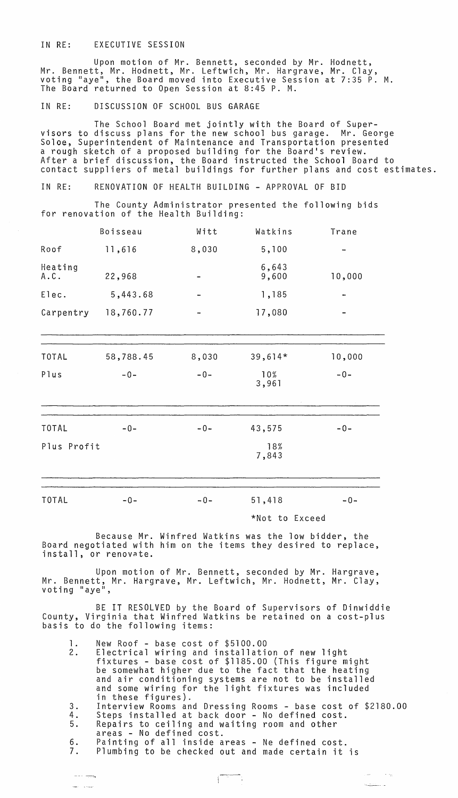### IN RE: EXECUTIVE SESSION

Upon motion of Mr. Bennett, seconded by Mr. Hodnett, Mr. Bennett, Mr. Hodnett, Mr. Leftwich, Mr. Hargrave, Mr. Clay,<br>voting "aye", the Board moved into Executive Session at 7:35 P. M. The Board returned to Open Session at 8:45 P. M.

# IN RE: DISCUSSION OF SCHOOL BUS GARAGE

The School Board met jointly with the Board of Supervisors to discuss plans for the new school bus garage. Mr. George Soloe, Superintendent of Maintenance and Transportation presented a rough sketch of a proposed building for the Board's review. After a brief discussion, the Board instructed the School Board to contact suppliers of metal buildings for further plans and cost estimates.

IN RE: RENOVATION OF HEALTH BUILDING - APPROVAL OF BID

The County Administrator presented the following bids for renovation of the Health Building:

|                 | Boisseau  | Witt  | Watkins        | Trane  |
|-----------------|-----------|-------|----------------|--------|
| Roof            | 11,616    | 8,030 | 5,100          |        |
| Heating<br>A.C. | 22,968    |       | 6,643<br>9,600 | 10,000 |
| Elec.           | 5,443.68  |       | 1,185          |        |
| Carpentry       | 18,760.77 |       | 17,080         |        |
|                 |           |       |                |        |
| <b>TOTAL</b>    | 58,788.45 | 8,030 | $39,614*$      | 10,000 |
| Plus            | $-0-$     | $-0-$ | 10%<br>3,961   | $-0-$  |
| <b>TOTAL</b>    | $-0-$     | $-0-$ | 43,575         | $-0-$  |
| Plus Profit     |           |       | 18%<br>7,843   |        |
| <b>TOTAL</b>    | $-0-$     | $-0-$ | 51,418         | $-0-$  |
|                 |           |       | *Not to Exceed |        |

Because Mr. Winfred Watkins was the low bidder, the Board negotiated with him on the items they desired to replace, install, or renovate.

Upon motion of Mr. Bennett, seconded by Mr. Hargrave, Mr. Bennett, Mr. Hargrave, Mr. Leftwich, Mr. Hodnett, Mr. Clay,<br>voting "aye",

BE IT RESOLVED by the Board of Supervisors of Dinwiddie County, Virginia that Winfred Watkins be retained on a cost-plus basis to do the following items:

1. New Roof - base cost of \$5100.00

| . . |                                                             |
|-----|-------------------------------------------------------------|
| 2.  | Electrical wiring and installation of new light             |
|     | fixtures - base cost of \$1185.00 (This figure might        |
|     | be somewhat higher due to the fact that the heating         |
|     | and air conditioning systems are not to be installed        |
|     | and some wiring for the light fixtures was included         |
|     | in these figures).                                          |
| 3.  | Interview Rooms and Dressing Rooms - base cost of \$2180.00 |
|     |                                                             |

4. Steps installed at back door - No defined cost.

, and  $\alpha_{\rm max}$  are  $\alpha_{\rm max}$ 

**Katherine** 

- 5. Repairs to ceiling and waiting room and other
- areas No defined cost.

and a strong of

 $\frac{1}{2} \left( \frac{1}{2} \right) \left( \frac{1}{2} \right) \left( \frac{1}{2} \right) \left( \frac{1}{2} \right) \left( \frac{1}{2} \right) \left( \frac{1}{2} \right) \left( \frac{1}{2} \right) \left( \frac{1}{2} \right) \left( \frac{1}{2} \right) \left( \frac{1}{2} \right) \left( \frac{1}{2} \right) \left( \frac{1}{2} \right) \left( \frac{1}{2} \right) \left( \frac{1}{2} \right) \left( \frac{1}{2} \right) \left( \frac{1}{2} \right) \left( \frac$ 

6. Painting of all inside areas - Ne defined cost. Plumbing to be checked out and made certain it is

 $\sqrt{2}$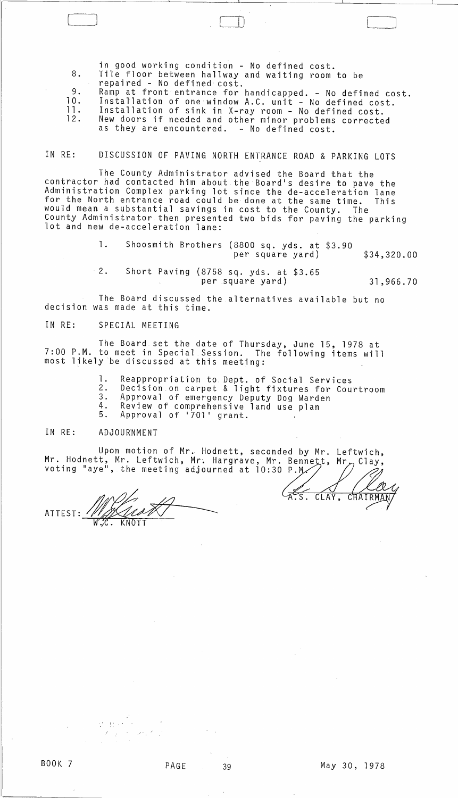8. 9. 10. in good working condition - No defined cost. Tile floor between hallway and waiting room to be repaired - No defined cost. Ramp at front entrance for handicapped. - No defined cost. Installation of one window A.C. unit - No defined cost.

 $\Box$ 

ll. 12. Installation of sink in X-ray room - No defined cost. New doors if needed and other minor problems corrected as they are encountered. - No defined cost.

### IN RE: DISCUSSION OF PAVING NORTH ENTRANCE ROAD & PARKING LOTS

The County Administrator advised the Board that the contractor had contacted him about the Board's desire to pave the Administration Complex parking lot since the de-acceleration lane for the North entrance road could be done at the same time. This would mean a substantial savings in cost to the County. The County Administrator then presented two bids for paving the parking<br>lot and new de-acceleration lane:

> 1. Shoosmith Brothers (8800 sq. yds. at \$3.90 per square yard) \$34,320.00

> 2. Short Paving (8758 sq. yds. at \$3.65 per square yard) 31,966.70

The Board discussed the alternatives available but no decision was made at this time.

## IN RE: SPECIAL MEETING

 $\begin{tabular}{|c|c|c|c|} \hline \quad \quad & \quad \quad & \quad \quad \\ \hline \quad \quad & \quad \quad & \quad \quad \\ \hline \quad \quad & \quad \quad & \quad \quad \\ \hline \quad \quad & \quad \quad & \quad \quad \\ \hline \quad \quad & \quad \quad & \quad \quad \\ \hline \quad \quad & \quad \quad & \quad \quad \\ \hline \quad \quad & \quad \quad & \quad \quad \\ \hline \quad \quad & \quad \quad & \quad \quad \\ \hline \quad \quad & \quad \quad & \quad \quad \\ \hline \quad \quad & \quad \quad & \quad \quad \\ \hline \quad \quad & \quad \quad & \quad \quad \\ \hline \quad \$ 

The Board set the date of Thursday, June 15, 1978 at 7:00 P.M. to meet in Special Session. The following items will most likely be discussed at this meeting:

- 1. Reappropriation to Dept. of Social Services
- 2. Decision on carpet & light fixtures for Courtroom
- 3. Approval of emergency Deputy Dog Warden<br>4. Review of comprehensive land use plan
- 4. Review of comprehensive land use plan<br>5. Approval of '701' grant.

#### IN RE: ADJOURNMENT

Upon motion of Mr. Hodnett, seconded by Mr. Leftwich, Mr. Hodnett, Mr. Leftwich, Mr. Hargrave, Mr. Bennett, voting "aye", the meeting adjourned at 10:30 P.M/

Upon motion of Mr. Hodnett, sec<br>Mr. Hodnett, Mr. Leftwich, Mr. Hargrave,<br>voting "aye", the meeting adjourned at 10<br>ATTEST: W.C. KNOTT

LAS. CLAY, CHAIRMAN

- "